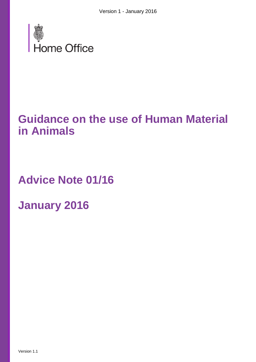

# **Guidance on the use of Human Material in Animals**

**Advice Note 01/16**

**January 2016**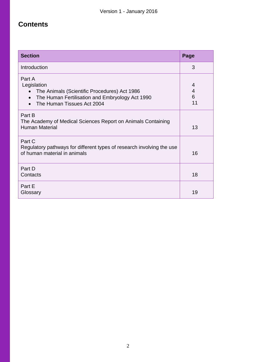# **Contents**

| <b>Section</b>                                                                                                                                                      | Page              |
|---------------------------------------------------------------------------------------------------------------------------------------------------------------------|-------------------|
| Introduction                                                                                                                                                        | 3                 |
| Part A<br>Legislation<br>The Animals (Scientific Procedures) Act 1986<br>The Human Fertilisation and Embryology Act 1990<br>$\bullet$<br>The Human Tissues Act 2004 | 4<br>4<br>6<br>11 |
| Part B<br>The Academy of Medical Sciences Report on Animals Containing<br><b>Human Material</b>                                                                     | 13                |
| Part C<br>Regulatory pathways for different types of research involving the use<br>of human material in animals                                                     | 16                |
| Part D<br>Contacts                                                                                                                                                  | 18                |
| Part E<br>Glossary                                                                                                                                                  | 19                |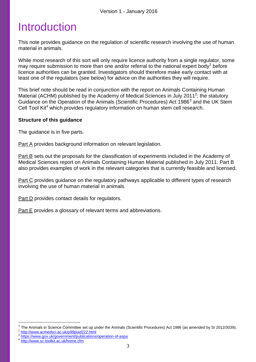# Introduction

This note provides guidance on the regulation of scientific research involving the use of human material in animals.

While most research of this sort will only require licence authority from a single regulator, some may require submission to more than one and/or referral to the national expert body<sup>1</sup> before licence authorities can be granted. Investigators should therefore make early contact with at least one of the regulators (see below) for advice on the authorities they will require.

This brief note should be read in conjunction with the report on Animals Containing Human Material (ACHM) published by the Academy of Medical Sciences in July 2011<sup>2</sup>; the statutory Guidance on the Operation of the Animals (Scientific Procedures) Act 1986<sup>3</sup> and the UK Stem Cell Tool Kit<sup>4</sup> which provides regulatory information on human stem cell research.

# **Structure of this guidance**

The guidance is in five parts.

Part A provides background information on relevant legislation.

Part B sets out the proposals for the classification of experiments included in the Academy of Medical Sciences report on Animals Containing Human Material published in July 2011. Part B also provides examples of work in the relevant categories that is currently feasible and licensed.

Part C provides guidance on the regulatory pathways applicable to different types of research involving the use of human material in animals.

Part D provides contact details for regulators.

Part E provides a glossary of relevant terms and abbreviations.

<sup>1</sup> The Animals in Science Committee set up under the Animals (Scientific Procedures) Act 1986 (as amended by SI 2012/3039). <sup>2</sup> <http://www.acmedsci.ac.uk/p99puid222.html>

<sup>&</sup>lt;sup>3</sup> <https://www.gov.uk/government/publications/operation-of-aspa><br><sup>4</sup> http://www.gov.uk/government/publications/operation-of-aspa

<http://www.sc-toolkit.ac.uk/home.cfm>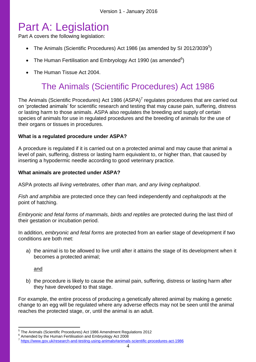# Part A: Legislation

Part A covers the following legislation:

- The Animals (Scientific Procedures) Act 1986 (as amended by SI 2012/3039 $^5$ )
- The Human Fertilisation and Embryology Act 1990 (as amended $6$ )
- The Human Tissue Act 2004.

# The Animals (Scientific Procedures) Act 1986

The Animals (Scientific Procedures) Act 1986 (ASPA)<sup>7</sup> regulates procedures that are carried out on 'protected animals' for scientific research and testing that may cause pain, suffering, distress or lasting harm to those animals. ASPA also regulates the breeding and supply of certain species of animals for use in regulated procedures and the breeding of animals for the use of their organs or tissues in procedures.

# **What is a regulated procedure under ASPA?**

A procedure is regulated if it is carried out on a protected animal and may cause that animal a level of pain, suffering, distress or lasting harm equivalent to, or higher than, that caused by inserting a hypodermic needle according to good veterinary practice.

# **What animals are protected under ASPA?**

ASPA protects *all living vertebrates, other than man, and any living cephalopod*.

*Fish and amphibia* are protected once they can feed independently and *cephalopods* at the point of hatching.

*Embryonic and fetal forms of mammals, birds and reptiles* are protected during the last third of their gestation or incubation period.

In addition, *embryonic and fetal forms* are protected from an earlier stage of development if two conditions are both met:

a) the animal is to be allowed to live until after it attains the stage of its development when it becomes a protected animal;

and

b) the procedure is likely to cause the animal pain, suffering, distress or lasting harm after they have developed to that stage.

For example, the entire process of producing a genetically altered animal by making a genetic change to an egg will be regulated where any adverse effects may not be seen until the animal reaches the protected stage, or, until the animal is an adult.

 5 The Animals (Scientific Procedures) Act 1986 Amendment Regulations 2012

 $6$  Amended by the Human Fertilisation and Embryology Act 2008

<sup>7</sup> <https://www.gov.uk/research-and-testing-using-animals#animals-scientific-procedures-act-1986>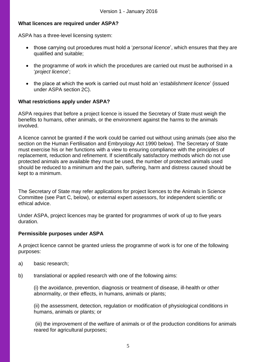# **What licences are required under ASPA?**

ASPA has a three-level licensing system:

- those carrying out procedures must hold a '*personal licence*', which ensures that they are qualified and suitable;
- the programme of work in which the procedures are carried out must be authorised in a '*project licence*';
- the place at which the work is carried out must hold an '*establishment licence*' (issued under ASPA section 2C).

# **What restrictions apply under ASPA?**

ASPA requires that before a project licence is issued the Secretary of State must weigh the benefits to humans, other animals, or the environment against the harms to the animals involved.

A licence cannot be granted if the work could be carried out without using animals (see also the section on the Human Fertilisation and Embryology Act 1990 below). The Secretary of State must exercise his or her functions with a view to ensuring compliance with the principles of replacement, reduction and refinement. If scientifically satisfactory methods which do not use protected animals are available they must be used, the number of protected animals used should be reduced to a minimum and the pain, suffering, harm and distress caused should be kept to a minimum.

The Secretary of State may refer applications for project licences to the Animals in Science Committee (see Part C, below), or external expert assessors, for independent scientific or ethical advice.

Under ASPA, project licences may be granted for programmes of work of up to five years duration.

### **Permissible purposes under ASPA**

A project licence cannot be granted unless the programme of work is for one of the following purposes:

- a) basic research;
- b) translational or applied research with one of the following aims:

(i) the avoidance, prevention, diagnosis or treatment of disease, ill-health or other abnormality, or their effects, in humans, animals or plants;

(ii) the assessment, detection, regulation or modification of physiological conditions in humans, animals or plants; or

(iii) the improvement of the welfare of animals or of the production conditions for animals reared for agricultural purposes;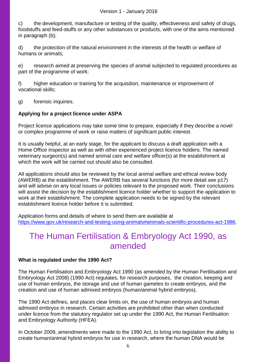c) the development, manufacture or testing of the quality, effectiveness and safety of drugs, foodstuffs and feed-stuffs or any other substances or products, with one of the aims mentioned in paragraph (b);

d) the protection of the natural environment in the interests of the health or welfare of humans or animals;

e) research aimed at preserving the species of animal subjected to regulated procedures as part of the programme of work;

f) higher education or training for the acquisition, maintenance or improvement of vocational skills;

g) forensic inquiries.

# **Applying for a project licence under ASPA**

Project licence applications may take some time to prepare, especially if they describe a novel or complex programme of work or raise matters of significant public interest.

It is usually helpful, at an early stage, for the applicant to discuss a draft application with a Home Office inspector as well as with other experienced project licence holders. The named veterinary surgeon(s) and named animal care and welfare officer(s) at the establishment at which the work will be carried out should also be consulted.

All applications should also be reviewed by the local animal welfare and ethical review body (AWERB) at the establishment. The AWERB has several functions (for more detail see p17) and will advise on any local issues or policies relevant to the proposed work. Their conclusions will assist the decision by the establishment licence holder whether to support the application to work at their establishment. The complete application needs to be signed by the relevant establishment licence holder before it is submitted.

Application forms and details of where to send them are available at [https://www.gov.uk/research-and-testing-using-animals#animals-scientific-procedures-act-1986.](https://www.gov.uk/research-and-testing-using-animals#animals-scientific-procedures-act-1986)

# The Human Fertilisation & Embryology Act 1990, as amended

### **What is regulated under the 1990 Act?**

The Human Fertilisation and Embryology Act 1990 (as amended by the Human Fertilisation and Embryology Act 2008) (1990 Act) regulates, for research purposes, the creation, keeping and use of human embryos, the storage and use of human gametes to create embryos, and the creation and use of human admixed embryos (human/animal hybrid embryos).

The 1990 Act defines, and places clear limits on, the use of human embryos and human admixed embryos in research. Certain activities are prohibited other than when conducted under licence from the statutory regulator set up under the 1990 Act, the Human Fertilisation and Embryology Authority (HFEA).

In October 2009, amendments were made to the 1990 Act, to bring into legislation the ability to create human/animal hybrid embryos for use in research, where the human DNA would be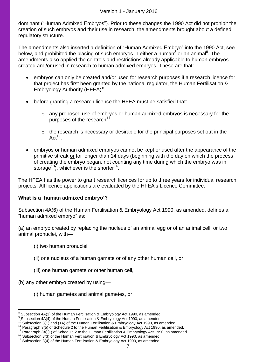dominant ("Human Admixed Embryos"). Prior to these changes the 1990 Act did not prohibit the creation of such embryos and their use in research; the amendments brought about a defined regulatory structure.

The amendments also inserted a definition of "Human Admixed Embryo" into the 1990 Act, see below, and prohibited the placing of such embryos in either a human $^8$  or an animal $^9$ . The amendments also applied the controls and restrictions already applicable to human embryos created and/or used in research to human admixed embryos. These are that:

- embryos can only be created and/or used for research purposes if a research licence for that project has first been granted by the national regulator, the Human Fertilisation & Embryology Authority (HFEA)<sup>10</sup>.
- before granting a research licence the HFEA must be satisfied that:
	- o any proposed use of embryos or human admixed embryos is necessary for the purposes of the research<sup>11</sup>,
	- o the research is necessary or desirable for the principal purposes set out in the  $Act^{12}$ .
- embryos or human admixed embryos cannot be kept or used after the appearance of the primitive streak or for longer than 14 days (beginning with the day on which the process of creating the embryo began, not counting any time during which the embryo was in storage<sup>13</sup>), whichever is the shorter<sup>14</sup>.

The HFEA has the power to grant research licences for up to three years for individual research projects. All licence applications are evaluated by the HFEA's Licence Committee.

# **What is a 'human admixed embryo'?**

Subsection 4A(6) of the Human Fertilisation & Embryology Act 1990, as amended, defines a "human admixed embryo" as:

(a) an embryo created by replacing the nucleus of an animal egg or of an animal cell, or two animal pronuclei, with—

- (i) two human pronuclei,
- (ii) one nucleus of a human gamete or of any other human cell, or
- (iii) one human gamete or other human cell,

(b) any other embryo created by using—

 $\overline{a}$ 

(i) human gametes and animal gametes, or

 $8$  Subsection 4A(1) of the Human Fertilisation & Embryology Act 1990, as amended.

 $9$  Subsection 4A(4) of the Human Fertilisation & Embryology Act 1990, as amended.

<sup>10</sup> Subsection 3(1) and (1A) of the Human Fertilisation & Embryology Act 1990, as amended.

<sup>&</sup>lt;sup>11</sup> Paragraph 3(5) of Schedule 2 to the Human Fertilisation & Embryology Act 1990, as amended.

<sup>12</sup> Paragraph 3A)(1) of Schedule 2 to the Human Fertilisation & Embryology Act 1990, as amended.

<sup>&</sup>lt;sup>13</sup> Subsection 3(3) of the Human Fertilisation & Embryology Act 1990, as amended.

 $14$  Subsection 3(4) of the Human Fertilisation & Embryology Act 1990, as amended.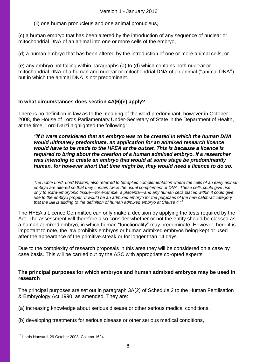(ii) one human pronucleus and one animal pronucleus,

(c) a human embryo that has been altered by the introduction of any sequence of nuclear or mitochondrial DNA of an animal into one or more cells of the embryo,

(d) a human embryo that has been altered by the introduction of one or more animal cells, or

(e) any embryo not falling within paragraphs (a) to (d) which contains both nuclear or mitochondrial DNA of a human and nuclear or mitochondrial DNA of an animal (''animal DNA'') but in which the animal DNA is not predominant.

#### **In what circumstances does section 4A(6)(e) apply?**

There is no definition in law as to the meaning of the word predominant, however in October 2008, the House of Lords Parliamentary Under-Secretary of State in the Department of Health, at the time, Lord Darzi highlighted the following:

*"If it were considered that an embryo was to be created in which the human DNA would ultimately predominate, an application for an admixed research licence would have to be made to the HFEA at the outset. This is because a licence is required to bring about the creation of a human admixed embryo. If a researcher was intending to create an embryo that would at some stage be predominantly human, for however short that time might be, they would need a licence to do so.*

*The noble Lord, Lord Walton, also referred to tetraploid complementation where the cells of an early animal embryo are altered so that they contain twice the usual complement of DNA. These cells could give rise only to extra-embryonic tissue—for example, a placenta—and any human cells placed within it could give rise to the embryo proper. It would be an admixed embryo for the purposes of the new catch-all category that the Bill is adding to the definition of human admixed embryo at Clause 4.<sup>15</sup>*

The HFEA's Licence Committee can only make a decision by applying the tests required by the Act. The assessment will therefore also consider whether or not the entity should be classed as a human admixed embryo, in which human "functionality" may predominate. However, here it is important to note, the law prohibits embryos or human admixed embryos being kept or used after the appearance of the primitive streak or for longer than 14 days.

Due to the complexity of research proposals in this area they will be considered on a case by case basis. This will be carried out by the ASC with appropriate co-opted experts.

### **The principal purposes for which embryos and human admixed embryos may be used in research**

The principal purposes are set out in paragraph 3A(2) of Schedule 2 to the Human Fertilisation & Embryology Act 1990, as amended. They are:

- (a) increasing knowledge about serious disease or other serious medical conditions,
- (b) developing treatments for serious disease or other serious medical conditions,

<sup>&</sup>lt;sup>15</sup> Lords Hansard, 29 October 2008, Column 1624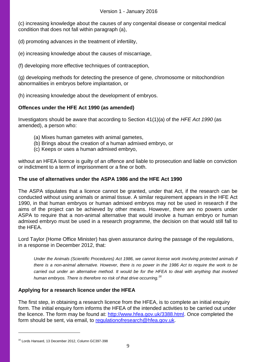(c) increasing knowledge about the causes of any congenital disease or congenital medical condition that does not fall within paragraph (a),

(d) promoting advances in the treatment of infertility,

(e) increasing knowledge about the causes of miscarriage,

(f) developing more effective techniques of contraception,

(g) developing methods for detecting the presence of gene, chromosome or mitochondrion abnormalities in embryos before implantation, or

(h) increasing knowledge about the development of embryos.

# **Offences under the HFE Act 1990 (as amended)**

Investigators should be aware that according to Section 41(1)(a) of the *HFE Act 1990* (as amended), a person who:

- (a) Mixes human gametes with animal gametes,
- (b) Brings about the creation of a human admixed embryo, or
- (c) Keeps or uses a human admixed embryo,

without an HFEA licence is guilty of an offence and liable to prosecution and liable on conviction or indictment to a term of imprisonment or a fine or both.

# **The use of alternatives under the ASPA 1986 and the HFE Act 1990**

The ASPA stipulates that a licence cannot be granted, under that Act, if the research can be conducted without using animals or animal tissue. A similar requirement appears in the HFE Act 1990, in that human embryos or human admixed embryos may not be used in research if the aims of the project can be achieved by other means. However, there are no powers under ASPA to require that a non-animal alternative that would involve a human embryo or human admixed embryo must be used in a research programme, the decision on that would still fall to the HFEA.

Lord Taylor (Home Office Minister) has given assurance during the passage of the regulations, in a response in December 2012, that:

*Under the Animals (Scientific Procedures) Act 1986, we cannot license work involving protected animals if there is a non-animal alternative. However, there is no power in the 1986 Act to require the work to be carried out under an alternative method. It would be for the HFEA to deal with anything that involved human embryos. There is therefore no risk of that drive occurring.<sup>16</sup>*

### **Applying for a research licence under the HFEA**

The first step, in obtaining a research licence from the HFEA, is to complete an initial enquiry form. The initial enquiry form informs the HFEA of the intended activities to be carried out under the licence. The form may be found at: [http://www.hfea.gov.uk/3388.html.](http://www.hfea.gov.uk/3388.html) Once completed the form should be sent, via email, to [regulationofresearch@hfea.gov.uk.](mailto:regulationofresearch@hfea.gov.uk)

<sup>16</sup> Lords Hansard, 13 December 2012, Column GC397-398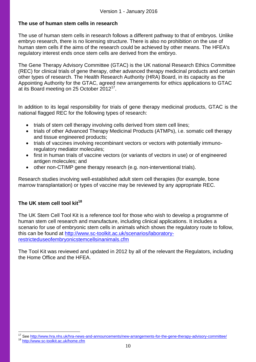# **The use of human stem cells in research**

The use of human stem cells in research follows a different pathway to that of embryos. Unlike embryo research, there is no licensing structure. There is also no prohibition on the use of human stem cells if the aims of the research could be achieved by other means. The HFEA's regulatory interest ends once stem cells are derived from the embryo.

The Gene Therapy Advisory Committee (GTAC) is the UK national Research Ethics Committee (REC) for clinical trials of gene therapy, other advanced therapy medicinal products and certain other types of research. The Health Research Authority (HRA) Board, in its capacity as the Appointing Authority for the GTAC, agreed new arrangements for ethics applications to GTAC at its Board meeting on 25 October 2012<sup>17</sup>.

In addition to its legal responsibility for trials of gene therapy medicinal products, GTAC is the national flagged REC for the following types of research:

- trials of stem cell therapy involving cells derived from stem cell lines;
- trials of other Advanced Therapy Medicinal Products (ATMPs), i.e. somatic cell therapy and tissue engineered products;
- trials of vaccines involving recombinant vectors or vectors with potentially immunoregulatory mediator molecules;
- first in human trials of vaccine vectors (or variants of vectors in use) or of engineered antigen molecules; and
- other non-CTIMP gene therapy research (e.g. non-interventional trials).

Research studies involving well-established adult stem cell therapies (for example, bone marrow transplantation) or types of vaccine may be reviewed by any appropriate REC.

# **The UK stem cell tool kit<sup>18</sup>**

 $\overline{a}$ 

The UK Stem Cell Tool Kit is a reference tool for those who wish to develop a programme of human stem cell research and manufacture, including clinical applications. It includes a scenario for use of embryonic stem cells in animals which shows the regulatory route to follow, this can be found at [http://www.sc-toolkit.ac.uk/scenarios/laboratory](http://www.sc-toolkit.ac.uk/scenarios/laboratory-restricteduseofembryonicstemcellsinanimals.cfm)[restricteduseofembryonicstemcellsinanimals.cfm](http://www.sc-toolkit.ac.uk/scenarios/laboratory-restricteduseofembryonicstemcellsinanimals.cfm)

The Tool Kit was reviewed and updated in 2012 by all of the relevant the Regulators, including the Home Office and the HFEA.

<sup>&</sup>lt;sup>17</sup> See<http://www.hra.nhs.uk/hra-news-and-announcements/new-arrangements-for-the-gene-therapy-advisory-committee/> <http://www.sc-toolkit.ac.uk/home.cfm>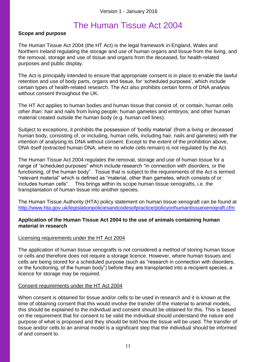# The Human Tissue Act 2004

# **Scope and purpose**

The Human Tissue Act 2004 (the HT Act) is the legal framework in England, Wales and Northern Ireland regulating the storage and use of human organs and tissue from the living, and the removal, storage and use of tissue and organs from the deceased, for health-related purposes and public display.

The Act is principally intended to ensure that appropriate consent is in place to enable the lawful retention and use of body parts, organs and tissue, for 'scheduled purposes', which include certain types of health-related research. The Act also prohibits certain forms of DNA analysis without consent throughout the UK.

The HT Act applies to human bodies and human tissue that consist of, or contain, human cells *other than*: hair and nails from living people; human gametes and embryos; and other human material created outside the human body (e.g. human cell lines).

Subject to exceptions, it prohibits the possession of 'bodily material' (from a living or deceased human body, consisting of, or including, human cells, including hair, nails and gametes) with the intention of analysing its DNA without consent. Except to the extent of the prohibition above, DNA itself (extracted human DNA, where no whole cells remain) is not regulated by the Act.

The Human Tissue Act 2004 regulates the removal, storage and use of human tissue for a range of "scheduled purposes" which include research "in connection with disorders, or the functioning, of the human body". Tissue that is subject to the requirements of the Act is termed "relevant material" which is defined as "material, other than gametes, which consists of or includes human cells". This brings within its scope human tissue xenografts, i.e. the transplantation of human tissue into another species.

The Human Tissue Authority (HTA) policy statement on human tissue xenograft can be found at <http://www.hta.gov.uk/legislationpoliciesandcodesofpractice/policyonhumantissuexenograft.cfm>

# **Application of the Human Tissue Act 2004 to the use of animals containing human material in research**

### Licensing requirements under the HT Act 2004

The application of human tissue xenografts is not considered a method of storing human tissue or cells and therefore does not require a storage licence. However, where human tissues and cells are being stored for a scheduled purpose (such as "research in connection with disorders, or the functioning, of the human body") before they are transplanted into a recipient species, a licence for storage may be required.

### Consent requirements under the HT Act 2004

When consent is obtained for tissue and/or cells to be used in research and it is known at the time of obtaining consent that this would involve the transfer of the material to animal models, this should be explained to the individual and consent should be obtained for this. This is based on the requirement that for consent to be valid the individual should understand the nature and purpose of what is proposed and they should be told how the tissue will be used. The transfer of tissue and/or cells to an animal model is a significant step that the individual should be informed of and consent to.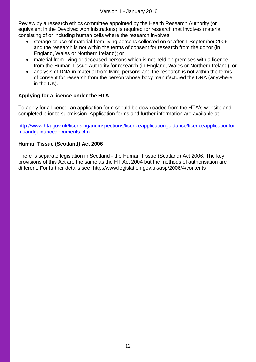Review by a research ethics committee appointed by the Health Research Authority (or equivalent in the Devolved Administrations) is required for research that involves material consisting of or including human cells where the research involves:

- storage or use of material from living persons collected on or after 1 September 2006 and the research is not within the terms of consent for research from the donor (in England, Wales or Northern Ireland); or
- material from living or deceased persons which is not held on premises with a licence from the Human Tissue Authority for research (in England, Wales or Northern Ireland); or
- analysis of DNA in material from living persons and the research is not within the terms of consent for research from the person whose body manufactured the DNA (anywhere in the UK).

# **Applying for a licence under the HTA**

To apply for a licence, an application form should be downloaded from the HTA's website and completed prior to submission. Application forms and further information are available at:

[http://www.hta.gov.uk/licensingandinspections/licenceapplicationguidance/licenceapplicationfor](http://www.hta.gov.uk/licensingandinspections/licenceapplicationguidance/licenceapplicationformsandguidancedocuments.cfm) [msandguidancedocuments.cfm.](http://www.hta.gov.uk/licensingandinspections/licenceapplicationguidance/licenceapplicationformsandguidancedocuments.cfm)

# **Human Tissue (Scotland) Act 2006**

There is separate legislation in Scotland - the Human Tissue (Scotland) Act 2006. The key provisions of this Act are the same as the HT Act 2004 but the methods of authorisation are different. For further details see http://www.legislation.gov.uk/asp/2006/4/contents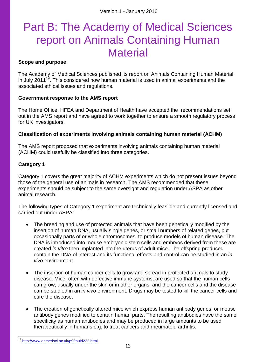# Part B: The Academy of Medical Sciences report on Animals Containing Human **Material**

# **Scope and purpose**

The Academy of Medical Sciences published its report on Animals Containing Human Material, in July 2011<sup>19</sup>. This considered how human material is used in animal experiments and the associated ethical issues and regulations.

### **Government response to the AMS report**

The Home Office, HFEA and Department of Health have accepted the recommendations set out in the AMS report and have agreed to work together to ensure a smooth regulatory process for UK investigators.

# **Classification of experiments involving animals containing human material (ACHM)**

The AMS report proposed that experiments involving animals containing human material (ACHM) could usefully be classified into three categories.

### **Category 1**

Category 1 covers the great majority of ACHM experiments which do not present issues beyond those of the general use of animals in research. The AMS recommended that these experiments should be subject to the same oversight and regulation under ASPA as other animal research.

The following types of Category 1 experiment are technically feasible and currently licensed and carried out under ASPA:

- The breeding and use of protected animals that have been genetically modified by the insertion of human DNA, usually single genes, or small numbers of related genes, but occasionally parts of or whole chromosomes, to produce models of human disease. The DNA is introduced into mouse embryonic stem cells and embryos derived from these are created *in vitro* then implanted into the uterus of adult mice. The offspring produced contain the DNA of interest and its functional effects and control can be studied in an *in vivo* environment.
- The insertion of human cancer cells to grow and spread in protected animals to study disease. Mice, often with defective immune systems, are used so that the human cells can grow, usually under the skin or in other organs, and the cancer cells and the disease can be studied in an *in vivo* environment. Drugs may be tested to kill the cancer cells and cure the disease.
- The creation of genetically altered mice which express human antibody genes, or mouse antibody genes modified to contain human parts. The resulting antibodies have the same specificity as human antibodies and may be produced in large amounts to be used therapeutically in humans e.g. to treat cancers and rheumatoid arthritis.

<sup>19</sup> <http://www.acmedsci.ac.uk/p99puid222.html>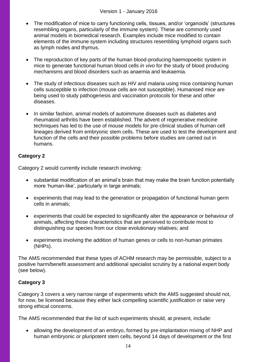- The modification of mice to carry functioning cells, tissues, and/or 'organoids' (structures resembling organs, particularly of the immune system). These are commonly used animal models in biomedical research. Examples include mice modified to contain elements of the immune system including structures resembling lymphoid organs such as lymph nodes and thymus.
- The reproduction of key parts of the human blood-producing haemopoeitic system in mice to generate functional human blood cells *in vivo* for the study of blood producing mechanisms and blood disorders such as anaemia and leukaemia.
- The study of infectious diseases such as HIV and malaria using mice containing human cells susceptible to infection (mouse cells are not susceptible). Humanised mice are being used to study pathogenesis and vaccination protocols for these and other diseases.
- In similar fashion, animal models of autoimmune diseases such as diabetes and rheumatoid arthritis have been established. The advent of regenerative medicine techniques has led to the use of mouse models for pre-clinical studies of human cell lineages derived from embryonic stem cells. These are used to test the development and function of the cells and their possible problems before studies are carried out in humans.

# **Category 2**

Category 2 would currently include research involving:

- substantial modification of an animal's brain that may make the brain function potentially more 'human-like', particularly in large animals;
- experiments that may lead to the generation or propagation of functional human germ cells in animals;
- experiments that could be expected to significantly alter the appearance or behaviour of animals, affecting those characteristics that are perceived to contribute most to distinguishing our species from our close evolutionary relatives; and
- experiments involving the addition of human genes or cells to non-human primates (NHPs).

The AMS recommended that these types of ACHM research may be permissible, subject to a positive harm/benefit assessment and additional specialist scrutiny by a national expert body (see below).

# **Category 3**

Category 3 covers a very narrow range of experiments which the AMS suggested should not, for now, be licensed because they either lack compelling scientific justification or raise very strong ethical concerns.

The AMS recommended that the list of such experiments should, at present, include:

• allowing the development of an embryo, formed by pre-implantation mixing of NHP and human embryonic or pluripotent stem cells, beyond 14 days of development or the first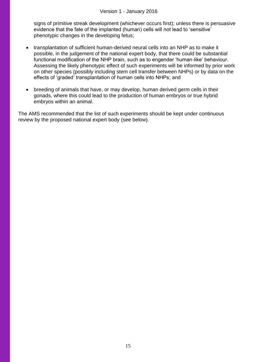signs of primitive streak development (whichever occurs first); unless there is persuasive evidence that the fate of the implanted (human) cells will not lead to 'sensitive' phenotypic changes in the developing fetus;

- transplantation of sufficient human-derived neural cells into an NHP as to make it possible, in the judgement of the national expert body, that there could be substantial functional modification of the NHP brain, such as to engender 'human-like' behaviour. Assessing the likely phenotypic effect of such experiments will be informed by prior work on other species (possibly including stem cell transfer between NHPs) or by data on the effects of 'graded' transplantation of human cells into NHPs; and
- breeding of animals that have, or may develop, human derived germ cells in their gonads, where this could lead to the production of human embryos or true hybrid embryos within an animal.

The AMS recommended that the list of such experiments should be kept under continuous review by the proposed national expert body (see below).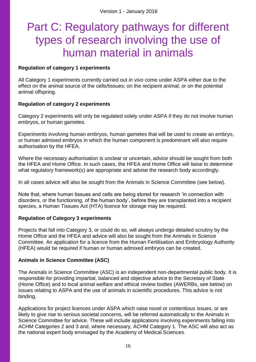# Part C: Regulatory pathways for different types of research involving the use of human material in animals

# **Regulation of category 1 experiments**

All Category 1 experiments currently carried out *in vivo* come under ASPA either due to the effect on the animal source of the cells/tissues; on the recipient animal; or on the potential animal offspring.

# **Regulation of category 2 experiments**

Category 2 experiments will only be regulated solely under ASPA if they do not involve human embryos, or human gametes.

Experiments involving human embryos, human gametes that will be used to create an embryo, or human admixed embryos in which the human component is predominant will also require authorisation by the HFEA.

Where the necessary authorisation is unclear or uncertain, advice should be sought from both the HFEA and Home Office. In such cases, the HFEA and Home Office will liaise to determine what regulatory framework(s) are appropriate and advise the research body accordingly.

In all cases advice will also be sought from the Animals in Science Committee (see below).

Note that, where human tissues and cells are being stored for research 'in connection with disorders, or the functioning, of the human body', before they are transplanted into a recipient species, a Human Tissues Act (HTA) licence for storage may be required.

# **Regulation of Category 3 experiments**

Projects that fall into Category 3, or could do so, will always undergo detailed scrutiny by the Home Office and the HFEA and advice will also be sought from the Animals in Science Committee. An application for a licence from the Human Fertilisation and Embryology Authority (HFEA) would be required if human or human admixed embryos can be created.

# **Animals in Science Committee (ASC)**

The Animals in Science Committee (ASC) is an independent non-departmental public body. It is responsible for providing impartial, balanced and objective advice to the Secretary of State (Home Office) and to local animal welfare and ethical review bodies (AWERBs, see below) on issues relating to ASPA and the use of animals in scientific procedures. This advice is not binding.

Applications for project licences under ASPA which raise novel or contentious issues, or are likely to give rise to serious societal concerns, will be referred automatically to the Animals in Science Committee for advice. These will include applications involving experiments falling into ACHM Categories 2 and 3 and, where necessary, ACHM Category 1. The ASC will also act as the national expert body envisaged by the Academy of Medical Sciences.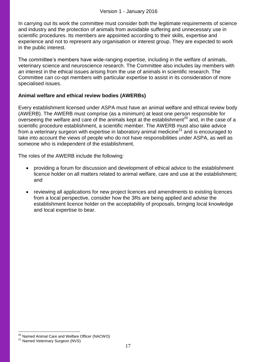In carrying out its work the committee must consider both the legitimate requirements of science and industry and the protection of animals from avoidable suffering and unnecessary use in scientific procedures. Its members are appointed according to their skills, expertise and experience and not to represent any organisation or interest group. They are expected to work in the public interest.

The committee's members have wide-ranging expertise, including in the welfare of animals, veterinary science and neuroscience research. The Committee also includes lay members with an interest in the ethical issues arising from the use of animals in scientific research. The Committee can co-opt members with particular expertise to assist in its consideration of more specialised issues.

# **Animal welfare and ethical review bodies (AWERBs)**

Every establishment licensed under ASPA must have an animal welfare and ethical review body (AWERB). The AWERB must comprise (as a minimum) at least one person responsible for overseeing the welfare and care of the animals kept at the establishment<sup>20</sup> and, in the case of a scientific procedure establishment, a scientific member. The AWERB must also take advice from a veterinary surgeon with expertise in laboratory animal medicine<sup>21</sup> and is encouraged to take into account the views of people who do not have responsibilities under ASPA, as well as someone who is independent of the establishment.

The roles of the AWERB include the following:

- providing a forum for discussion and development of ethical advice to the establishment licence holder on all matters related to animal welfare, care and use at the establishment; and
- reviewing all applications for new project licences and amendments to existing licences from a local perspective, consider how the 3Rs are being applied and advise the establishment licence holder on the acceptability of proposals, bringing local knowledge and local expertise to bear.

<sup>&</sup>lt;sup>20</sup> Named Animal Care and Welfare Officer (NACWO)

<sup>&</sup>lt;sup>21</sup> Named Veterinary Surgeon (NVS)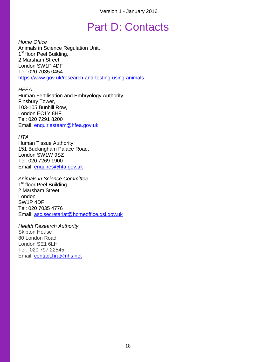# Part D: Contacts

*Home Office* Animals in Science Regulation Unit, 1<sup>st</sup> floor Peel Building, 2 Marsham Street, London SW1P 4DF Tel: 020 7035 0454 <https://www.gov.uk/research-and-testing-using-animals>

*HFEA* Human Fertilisation and Embryology Authority, Finsbury Tower, 103-105 Bunhill Row, London EC1Y 8HF Tel: 020 7291 8200 Email: [enquiriesteam@hfea.gov.uk](mailto:enquiriesteam@hfea.gov.uk)

*HTA* Human Tissue Authority, 151 Buckingham Palace Road, London SW1W 9SZ Tel: 020 7269 1900 Email: [enquires@hta.gov.uk](mailto:enquires@hta.gov.uk)

*Animals in Science Committee* 1<sup>st</sup> floor Peel Building 2 Marsham Street London SW1P 4DF Tel: 020 7035 4776 Email: [asc.secretariat@homeoffice.gsi.gov.uk](mailto:asc.secretariat@homeoffice.gsi.gov.uk)

*Health Research Authority* Skipton House 80 London Road London SE1 6LH Tel: 020 797 22545 Email: [contact.hra@nhs.net](mailto:contact.hra@nhs.net)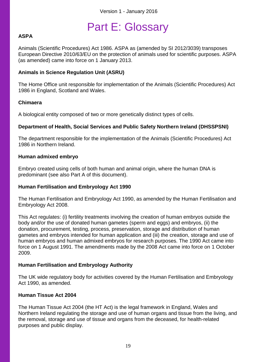# Part E: Glossary

# **ASPA**

Animals (Scientific Procedures) Act 1986. ASPA as (amended by SI 2012/3039) transposes European Directive 2010/63/EU on the protection of animals used for scientific purposes. ASPA (as amended) came into force on 1 January 2013.

# **Animals in Science Regulation Unit (ASRU)**

The Home Office unit responsible for implementation of the Animals (Scientific Procedures) Act 1986 in England, Scotland and Wales.

### **Chimaera**

A biological entity composed of two or more genetically distinct types of cells.

# **Department of Health, Social Services and Public Safety Northern Ireland (DHSSPSNI)**

The department responsible for the implementation of the Animals (Scientific Procedures) Act 1986 in Northern Ireland.

### **Human admixed embryo**

Embryo created using cells of both human and animal origin, where the human DNA is predominant (see also Part A of this document).

# **Human Fertilisation and Embryology Act 1990**

The Human Fertilisation and Embryology Act 1990, as amended by the Human Fertilisation and Embryology Act 2008.

This Act regulates: (i) fertility treatments involving the creation of human embryos outside the body and/or the use of donated human gametes (sperm and eggs) and embryos, (ii) the donation, procurement, testing, process, preservation, storage and distribution of human gametes and embryos intended for human application and (iii) the creation, storage and use of human embryos and human admixed embryos for research purposes. The 1990 Act came into force on 1 August 1991. The amendments made by the 2008 Act came into force on 1 October 2009.

# **Human Fertilisation and Embryology Authority**

The UK wide regulatory body for activities covered by the Human Fertilisation and Embryology Act 1990, as amended.

# **Human Tissue Act 2004**

The Human Tissue Act 2004 (the HT Act) is the legal framework in England, Wales and Northern Ireland regulating the storage and use of human organs and tissue from the living, and the removal, storage and use of tissue and organs from the deceased, for health-related purposes and public display.